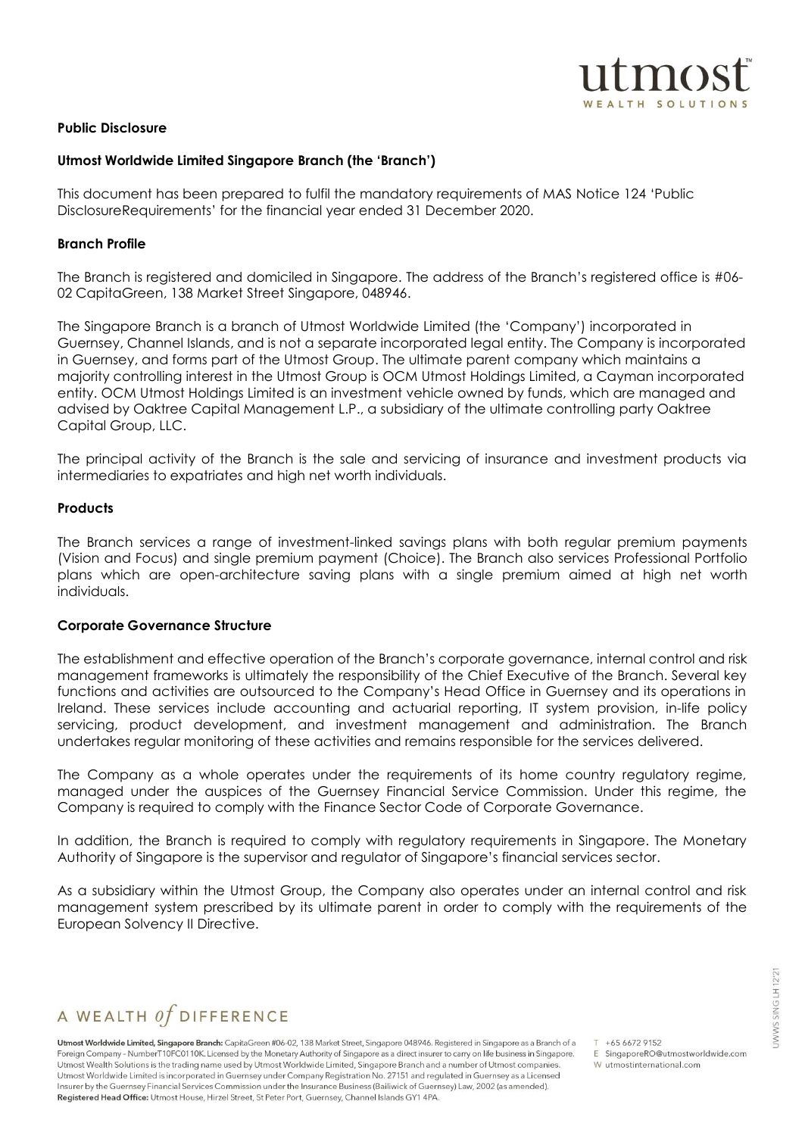

#### **Public Disclosure**

#### **Utmost Worldwide Limited Singapore Branch (the 'Branch')**

This document has been prepared to fulfil the mandatory requirements of MAS Notice 124 'Public DisclosureRequirements' for the financial year ended 31 December 2020.

#### **Branch Profile**

The Branch is registered and domiciled in Singapore. The address of the Branch's registered office is #06- 02 CapitaGreen, 138 Market Street Singapore, 048946.

The Singapore Branch is a branch of Utmost Worldwide Limited (the 'Company') incorporated in Guernsey, Channel Islands, and is not a separate incorporated legal entity. The Company is incorporated in Guernsey, and forms part of the Utmost Group. The ultimate parent company which maintains a majority controlling interest in the Utmost Group is OCM Utmost Holdings Limited, a Cayman incorporated entity. OCM Utmost Holdings Limited is an investment vehicle owned by funds, which are managed and advised by Oaktree Capital Management L.P., a subsidiary of the ultimate controlling party Oaktree Capital Group, LLC.

The principal activity of the Branch is the sale and servicing of insurance and investment products via intermediaries to expatriates and high net worth individuals.

#### **Products**

The Branch services a range of investment-linked savings plans with both regular premium payments (Vision and Focus) and single premium payment (Choice). The Branch also services Professional Portfolio plans which are open-architecture saving plans with a single premium aimed at high net worth individuals.

#### **Corporate Governance Structure**

The establishment and effective operation of the Branch's corporate governance, internal control and risk management frameworks is ultimately the responsibility of the Chief Executive of the Branch. Several key functions and activities are outsourced to the Company's Head Office in Guernsey and its operations in Ireland. These services include accounting and actuarial reporting, IT system provision, in-life policy servicing, product development, and investment management and administration. The Branch undertakes regular monitoring of these activities and remains responsible for the services delivered.

The Company as a whole operates under the requirements of its home country regulatory regime, managed under the auspices of the Guernsey Financial Service Commission. Under this regime, the Company is required to comply with the Finance Sector Code of Corporate Governance.

In addition, the Branch is required to comply with regulatory requirements in Singapore. The Monetary Authority of Singapore is the supervisor and regulator of Singapore's financial services sector.

As a subsidiary within the Utmost Group, the Company also operates under an internal control and risk management system prescribed by its ultimate parent in order to comply with the requirements of the European Solvency II Directive.

# A WEALTH  $of$  DIFFERENCE

Utmost Worldwide Limited, Singapore Branch: CapitaGreen #06-02, 138 Market Street, Singapore 048946. Registered in Singapore as a Branch of a Foreign Company - NumberT10FC0110K. Licensed by the Monetary Authority of Singapore as a direct insurer to carry on life business in Singapore. Utmost Wealth Solutions is the trading name used by Utmost Worldwide Limited, Singapore Branch and a number of Utmost companies. Utmost Worldwide Limited is incorporated in Guernsey under Company Registration No. 27151 and regulated in Guernsey as a Licensed Insurer by the Guernsey Financial Services Commission under the Insurance Business (Bailiwick of Guernsey) Law, 2002 (as amended). Registered Head Office: Utmost House, Hirzel Street, St Peter Port, Guernsey, Channel Islands GY1 4PA.

 $T + 6566729152$ E SingaporeRO@utmostworldwide.com W utmostinternational.com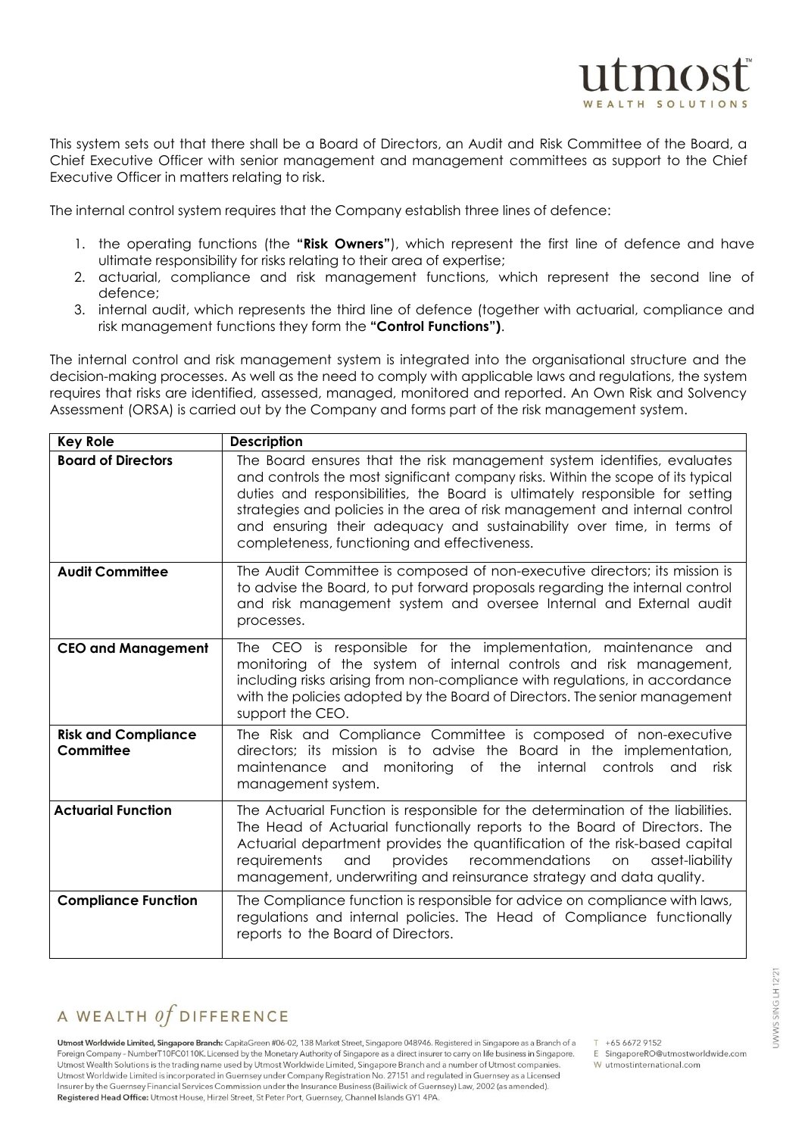This system sets out that there shall be a Board of Directors, an Audit and Risk Committee of the Board, a Chief Executive Officer with senior management and management committees as support to the Chief Executive Officer in matters relating to risk.

The internal control system requires that the Company establish three lines of defence:

- 1. the operating functions (the **"Risk Owners"**), which represent the first line of defence and have ultimate responsibility for risks relating to their area of expertise;
- 2. actuarial, compliance and risk management functions, which represent the second line of defence;
- 3. internal audit, which represents the third line of defence (together with actuarial, compliance and risk management functions they form the **"Control Functions")**.

The internal control and risk management system is integrated into the organisational structure and the decision-making processes. As well as the need to comply with applicable laws and regulations, the system requires that risks are identified, assessed, managed, monitored and reported. An Own Risk and Solvency Assessment (ORSA) is carried out by the Company and forms part of the risk management system.

| <b>Key Role</b>                         | <b>Description</b>                                                                                                                                                                                                                                                                                                                                                                                                                                  |  |  |  |  |
|-----------------------------------------|-----------------------------------------------------------------------------------------------------------------------------------------------------------------------------------------------------------------------------------------------------------------------------------------------------------------------------------------------------------------------------------------------------------------------------------------------------|--|--|--|--|
| <b>Board of Directors</b>               | The Board ensures that the risk management system identifies, evaluates<br>and controls the most significant company risks. Within the scope of its typical<br>duties and responsibilities, the Board is ultimately responsible for setting<br>strategies and policies in the area of risk management and internal control<br>and ensuring their adequacy and sustainability over time, in terms of<br>completeness, functioning and effectiveness. |  |  |  |  |
| <b>Audit Committee</b>                  | The Audit Committee is composed of non-executive directors; its mission is<br>to advise the Board, to put forward proposals regarding the internal control<br>and risk management system and oversee Internal and External audit<br>processes.                                                                                                                                                                                                      |  |  |  |  |
| <b>CEO and Management</b>               | The CEO is responsible for the implementation, maintenance and<br>monitoring of the system of internal controls and risk management,<br>including risks arising from non-compliance with regulations, in accordance<br>with the policies adopted by the Board of Directors. The senior management<br>support the CEO.                                                                                                                               |  |  |  |  |
| <b>Risk and Compliance</b><br>Committee | The Risk and Compliance Committee is composed of non-executive<br>directors; its mission is to advise the Board in the implementation,<br>maintenance and monitoring of the internal controls<br>and risk<br>management system.                                                                                                                                                                                                                     |  |  |  |  |
| <b>Actuarial Function</b>               | The Actuarial Function is responsible for the determination of the liabilities.<br>The Head of Actuarial functionally reports to the Board of Directors. The<br>Actuarial department provides the quantification of the risk-based capital<br>provides recommendations<br>requirements<br>and<br>asset-liability<br>on<br>management, underwriting and reinsurance strategy and data quality.                                                       |  |  |  |  |
| <b>Compliance Function</b>              | The Compliance function is responsible for advice on compliance with laws,<br>regulations and internal policies. The Head of Compliance functionally<br>reports to the Board of Directors.                                                                                                                                                                                                                                                          |  |  |  |  |

# A WEALTH  $of$  DIFFERENCE

Utmost Worldwide Limited, Singapore Branch: CapitaGreen #06-02, 138 Market Street, Singapore 048946. Registered in Singapore as a Branch of a Foreign Company - NumberT10FC0110K. Licensed by the Monetary Authority of Singapore as a direct insurer to carry on life business in Singapore. Utmost Wealth Solutions is the trading name used by Utmost Worldwide Limited, Singapore Branch and a number of Utmost companies. Utmost Worldwide Limited is incorporated in Guernsey under Company Registration No. 27151 and regulated in Guernsey as a Licensed Insurer by the Guernsey Financial Services Commission under the Insurance Business (Bailiwick of Guernsey) Law, 2002 (as amended). Registered Head Office: Utmost House, Hirzel Street, St Peter Port, Guernsey, Channel Islands GY1 4PA.

 $T + 6566729152$ 

- E SingaporeRO@utmostworldwide.com W utmostinternational.com
	-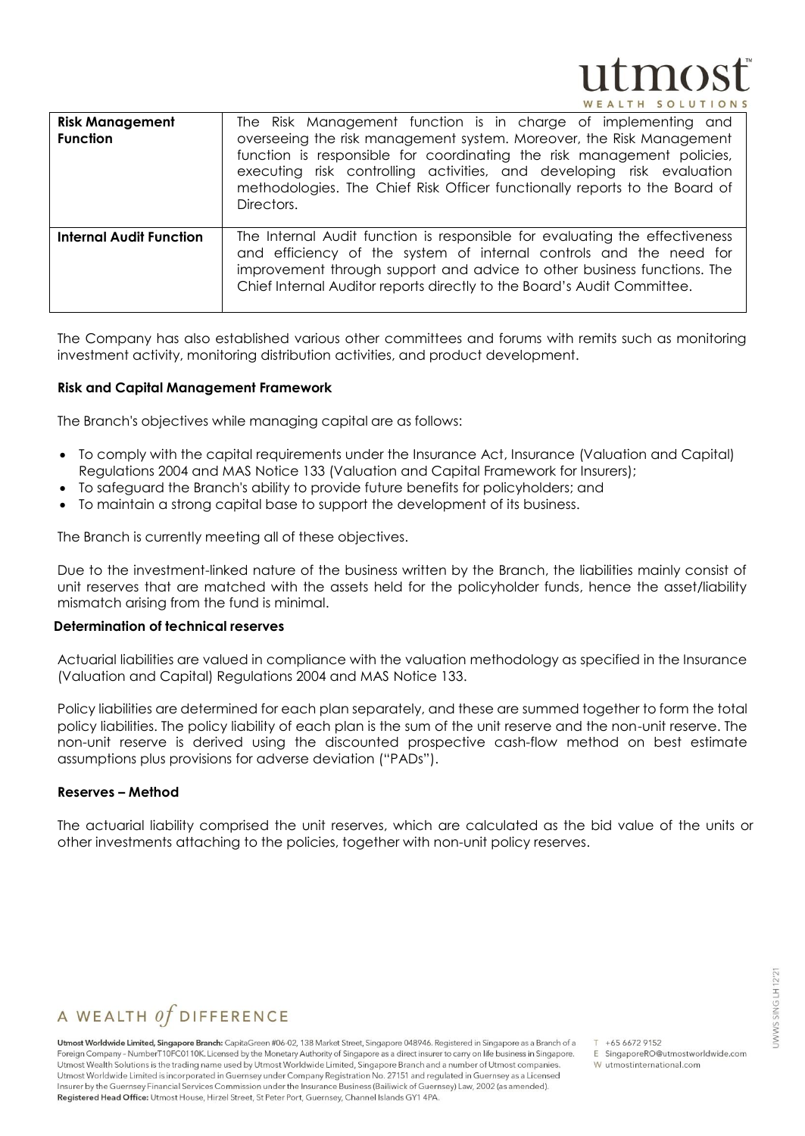# $\mathbf{mo}$ TH SOLUT

| <b>Risk Management</b><br><b>Function</b> | The Risk Management function is in charge of implementing and<br>overseeing the risk management system. Moreover, the Risk Management<br>function is responsible for coordinating the risk management policies,<br>executing risk controlling activities, and developing risk evaluation<br>methodologies. The Chief Risk Officer functionally reports to the Board of<br>Directors. |
|-------------------------------------------|--------------------------------------------------------------------------------------------------------------------------------------------------------------------------------------------------------------------------------------------------------------------------------------------------------------------------------------------------------------------------------------|
| <b>Internal Audit Function</b>            | The Internal Audit function is responsible for evaluating the effectiveness<br>and efficiency of the system of internal controls and the need for<br>improvement through support and advice to other business functions. The<br>Chief Internal Auditor reports directly to the Board's Audit Committee.                                                                              |

The Company has also established various other committees and forums with remits such as monitoring investment activity, monitoring distribution activities, and product development.

#### **Risk and Capital Management Framework**

The Branch's objectives while managing capital are as follows:

- To comply with the capital requirements under the Insurance Act, Insurance (Valuation and Capital) Regulations 2004 and MAS Notice 133 (Valuation and Capital Framework for Insurers);
- To safeguard the Branch's ability to provide future benefits for policyholders; and
- To maintain a strong capital base to support the development of its business.

The Branch is currently meeting all of these objectives.

Due to the investment-linked nature of the business written by the Branch, the liabilities mainly consist of unit reserves that are matched with the assets held for the policyholder funds, hence the asset/liability mismatch arising from the fund is minimal.

#### **Determination of technical reserves**

Actuarial liabilities are valued in compliance with the valuation methodology as specified in the Insurance (Valuation and Capital) Regulations 2004 and MAS Notice 133.

Policy liabilities are determined for each plan separately, and these are summed together to form the total policy liabilities. The policy liability of each plan is the sum of the unit reserve and the non-unit reserve. The non-unit reserve is derived using the discounted prospective cash-flow method on best estimate assumptions plus provisions for adverse deviation ("PADs").

#### **Reserves – Method**

The actuarial liability comprised the unit reserves, which are calculated as the bid value of the units or other investments attaching to the policies, together with non-unit policy reserves.

# A WEALTH  $of$  DIFFERENCE

Utmost Worldwide Limited, Singapore Branch: CapitaGreen #06-02, 138 Market Street, Singapore 048946. Registered in Singapore as a Branch of a Foreign Company - NumberT10FC0110K. Licensed by the Monetary Authority of Singapore as a direct insurer to carry on life business in Singapore. Utmost Wealth Solutions is the trading name used by Utmost Worldwide Limited, Singapore Branch and a number of Utmost companies. Utmost Worldwide Limited is incorporated in Guernsey under Company Registration No. 27151 and regulated in Guernsey as a Licensed Insurer by the Guernsey Financial Services Commission under the Insurance Business (Bailiwick of Guernsey) Law, 2002 (as amended). Registered Head Office: Utmost House, Hirzel Street, St Peter Port, Guernsey, Channel Islands GY1 4PA.

 $T + 6566729152$ E SingaporeRO@utmostworldwide.com

W utmostinternational.com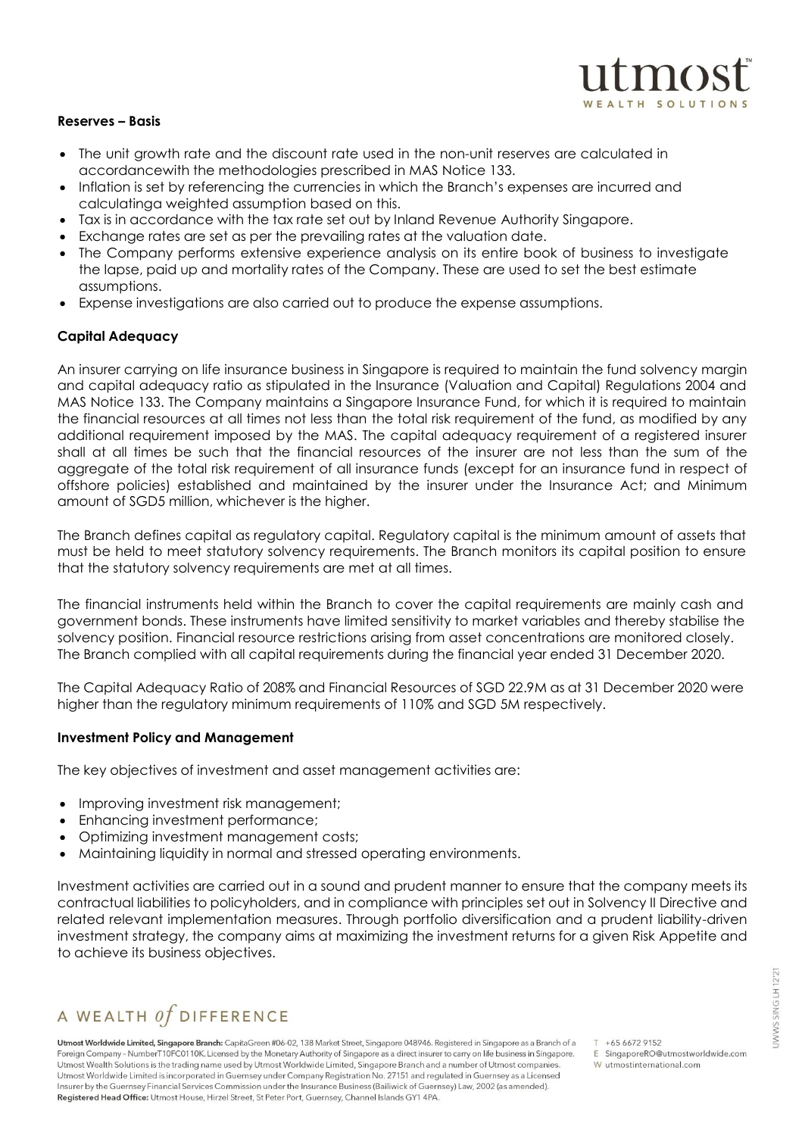#### **Reserves – Basis**

- The unit growth rate and the discount rate used in the non-unit reserves are calculated in accordancewith the methodologies prescribed in MAS Notice 133.
- Inflation is set by referencing the currencies in which the Branch's expenses are incurred and calculatinga weighted assumption based on this.
- Tax is in accordance with the tax rate set out by Inland Revenue Authority Singapore.
- Exchange rates are set as per the prevailing rates at the valuation date.
- The Company performs extensive experience analysis on its entire book of business to investigate the lapse, paid up and mortality rates of the Company. These are used to set the best estimate assumptions.
- Expense investigations are also carried out to produce the expense assumptions.

#### **Capital Adequacy**

An insurer carrying on life insurance business in Singapore is required to maintain the fund solvency margin and capital adequacy ratio as stipulated in the Insurance (Valuation and Capital) Regulations 2004 and MAS Notice 133. The Company maintains a Singapore Insurance Fund, for which it is required to maintain the financial resources at all times not less than the total risk requirement of the fund, as modified by any additional requirement imposed by the MAS. The capital adequacy requirement of a registered insurer shall at all times be such that the financial resources of the insurer are not less than the sum of the aggregate of the total risk requirement of all insurance funds (except for an insurance fund in respect of offshore policies) established and maintained by the insurer under the Insurance Act; and Minimum amount of SGD5 million, whichever is the higher.

The Branch defines capital as regulatory capital. Regulatory capital is the minimum amount of assets that must be held to meet statutory solvency requirements. The Branch monitors its capital position to ensure that the statutory solvency requirements are met at all times.

The financial instruments held within the Branch to cover the capital requirements are mainly cash and government bonds. These instruments have limited sensitivity to market variables and thereby stabilise the solvency position. Financial resource restrictions arising from asset concentrations are monitored closely. The Branch complied with all capital requirements during the financial year ended 31 December 2020.

The Capital Adequacy Ratio of 208% and Financial Resources of SGD 22.9M as at 31 December 2020 were higher than the regulatory minimum requirements of 110% and SGD 5M respectively.

#### **Investment Policy and Management**

The key objectives of investment and asset management activities are:

- Improving investment risk management;
- Enhancing investment performance;
- Optimizing investment management costs;
- Maintaining liquidity in normal and stressed operating environments.

Investment activities are carried out in a sound and prudent manner to ensure that the company meets its contractual liabilities to policyholders, and in compliance with principles set out in Solvency II Directive and related relevant implementation measures. Through portfolio diversification and a prudent liability-driven investment strategy, the company aims at maximizing the investment returns for a given Risk Appetite and to achieve its business objectives.

# A WEALTH  $of$  DIFFERENCE

Utmost Worldwide Limited, Singapore Branch: CapitaGreen #06-02, 138 Market Street, Singapore 048946. Registered in Singapore as a Branch of a Foreign Company - NumberT10FC0110K. Licensed by the Monetary Authority of Singapore as a direct insurer to carry on life business in Singapore. Utmost Wealth Solutions is the trading name used by Utmost Worldwide Limited, Singapore Branch and a number of Utmost companies. Utmost Worldwide Limited is incorporated in Guernsey under Company Registration No. 27151 and regulated in Guernsey as a Licensed Insurer by the Guernsey Financial Services Commission under the Insurance Business (Bailiwick of Guernsey) Law, 2002 (as amended). Registered Head Office: Utmost House, Hirzel Street, St Peter Port, Guernsey, Channel Islands GY1 4PA.

 $T + 6566729152$ 

- E SingaporeRO@utmostworldwide.com W utmostinternational.com
	-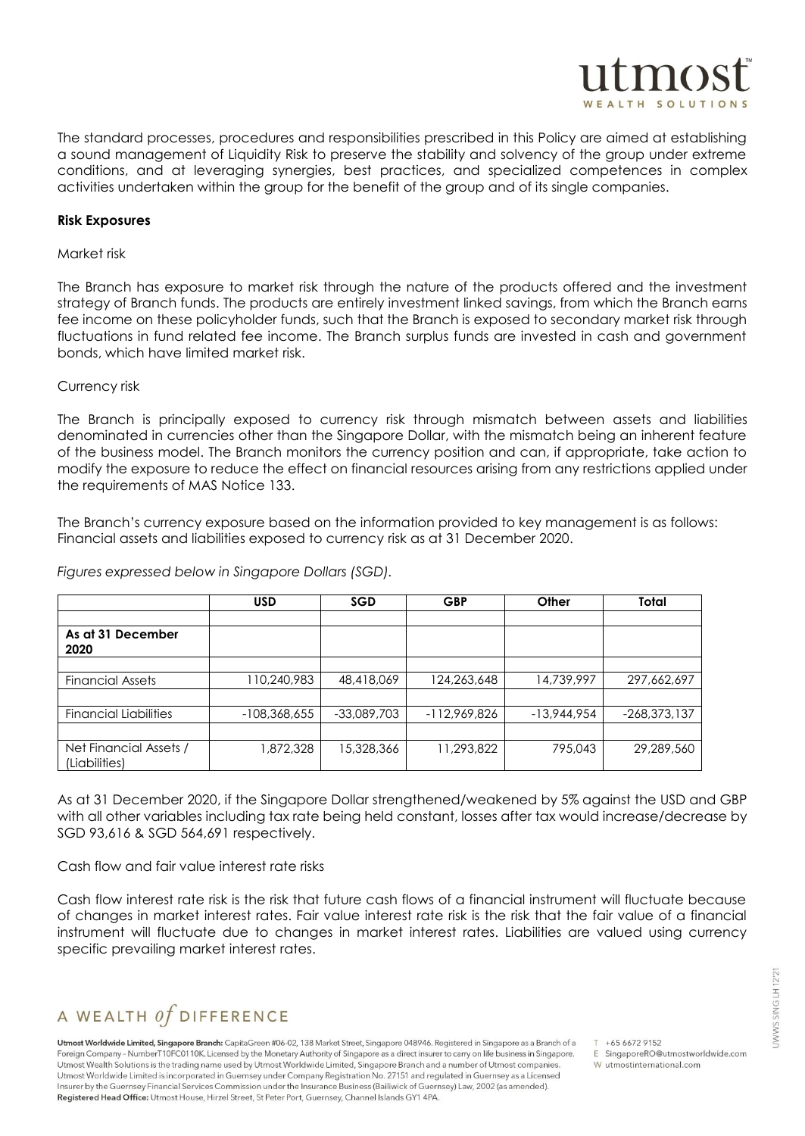

The standard processes, procedures and responsibilities prescribed in this Policy are aimed at establishing a sound management of Liquidity Risk to preserve the stability and solvency of the group under extreme conditions, and at leveraging synergies, best practices, and specialized competences in complex activities undertaken within the group for the benefit of the group and of its single companies.

#### **Risk Exposures**

#### Market risk

The Branch has exposure to market risk through the nature of the products offered and the investment strategy of Branch funds. The products are entirely investment linked savings, from which the Branch earns fee income on these policyholder funds, such that the Branch is exposed to secondary market risk through fluctuations in fund related fee income. The Branch surplus funds are invested in cash and government bonds, which have limited market risk.

#### Currency risk

The Branch is principally exposed to currency risk through mismatch between assets and liabilities denominated in currencies other than the Singapore Dollar, with the mismatch being an inherent feature of the business model. The Branch monitors the currency position and can, if appropriate, take action to modify the exposure to reduce the effect on financial resources arising from any restrictions applied under the requirements of MAS Notice 133.

The Branch's currency exposure based on the information provided to key management is as follows: Financial assets and liabilities exposed to currency risk as at 31 December 2020.

*Figures expressed below in Singapore Dollars (SGD).*

|                                         | <b>USD</b>     | <b>SGD</b>    | <b>GBP</b>     | Other         | Total          |
|-----------------------------------------|----------------|---------------|----------------|---------------|----------------|
|                                         |                |               |                |               |                |
| As at 31 December<br>2020               |                |               |                |               |                |
|                                         |                |               |                |               |                |
| <b>Financial Assets</b>                 | 110,240,983    | 48,418,069    | 124,263,648    | 14,739,997    | 297,662,697    |
|                                         |                |               |                |               |                |
| <b>Financial Liabilities</b>            | $-108,368,655$ | $-33,089,703$ | $-112,969,826$ | $-13.944.954$ | $-268,373,137$ |
|                                         |                |               |                |               |                |
| Net Financial Assets /<br>(Liabilities) | ,872,328       | 15,328,366    | 11,293,822     | 795,043       | 29,289,560     |

As at 31 December 2020, if the Singapore Dollar strengthened/weakened by 5% against the USD and GBP with all other variables including tax rate being held constant, losses after tax would increase/decrease by SGD 93,616 & SGD 564,691 respectively.

Cash flow and fair value interest rate risks

Cash flow interest rate risk is the risk that future cash flows of a financial instrument will fluctuate because of changes in market interest rates. Fair value interest rate risk is the risk that the fair value of a financial instrument will fluctuate due to changes in market interest rates. Liabilities are valued using currency specific prevailing market interest rates.

# A WEALTH  $of$  DIFFERENCE

Utmost Worldwide Limited, Singapore Branch: CapitaGreen #06-02, 138 Market Street, Singapore 048946. Registered in Singapore as a Branch of a Foreign Company - NumberT10FC0110K. Licensed by the Monetary Authority of Singapore as a direct insurer to carry on life business in Singapore. Utmost Wealth Solutions is the trading name used by Utmost Worldwide Limited, Singapore Branch and a number of Utmost companies. Utmost Worldwide Limited is incorporated in Guernsey under Company Registration No. 27151 and regulated in Guernsey as a Licensed Insurer by the Guernsey Financial Services Commission under the Insurance Business (Bailiwick of Guernsey) Law, 2002 (as amended). Registered Head Office: Utmost House, Hirzel Street, St Peter Port, Guernsey, Channel Islands GY1 4PA.

 $T + 6566729152$ 

E SingaporeRO@utmostworldwide.com W utmostinternational.com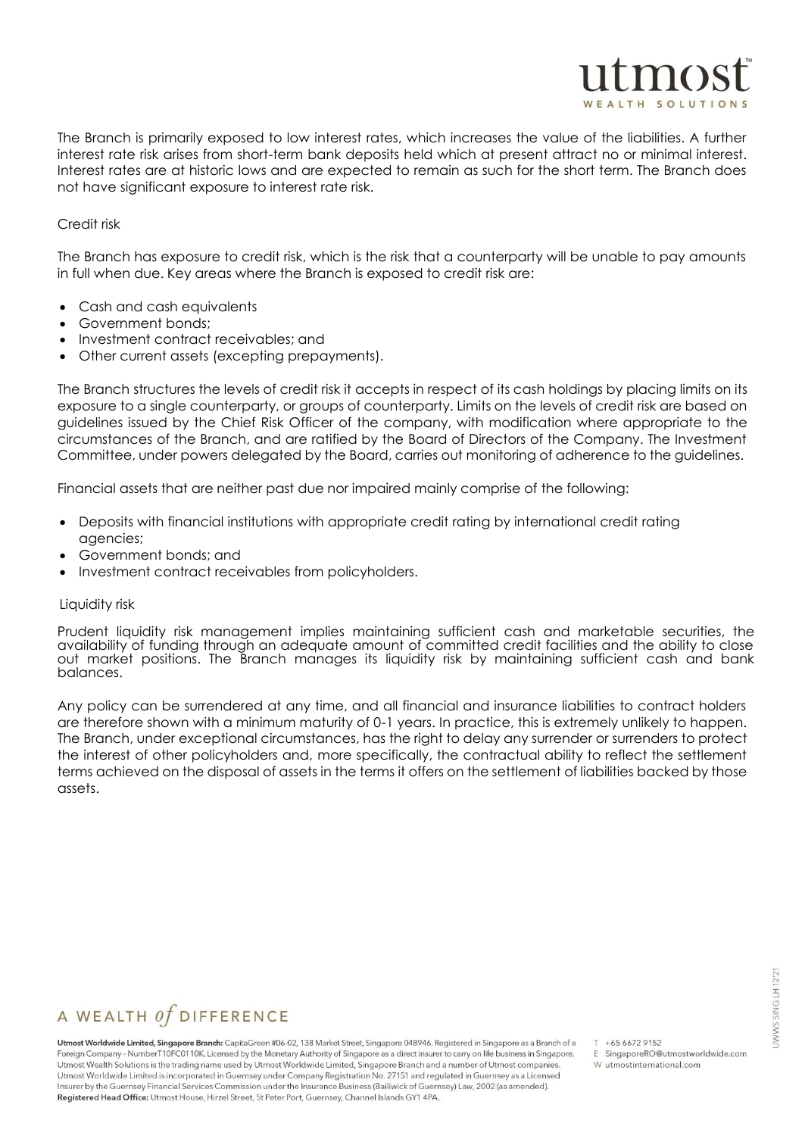The Branch is primarily exposed to low interest rates, which increases the value of the liabilities. A further interest rate risk arises from short-term bank deposits held which at present attract no or minimal interest. Interest rates are at historic lows and are expected to remain as such for the short term. The Branch does not have significant exposure to interest rate risk.

#### Credit risk

The Branch has exposure to credit risk, which is the risk that a counterparty will be unable to pay amounts in full when due. Key areas where the Branch is exposed to credit risk are:

- Cash and cash equivalents
- Government bonds;
- Investment contract receivables; and
- Other current assets (excepting prepayments).

The Branch structures the levels of credit risk it accepts in respect of its cash holdings by placing limits on its exposure to a single counterparty, or groups of counterparty. Limits on the levels of credit risk are based on guidelines issued by the Chief Risk Officer of the company, with modification where appropriate to the circumstances of the Branch, and are ratified by the Board of Directors of the Company. The Investment Committee, under powers delegated by the Board, carries out monitoring of adherence to the guidelines.

Financial assets that are neither past due nor impaired mainly comprise of the following:

- Deposits with financial institutions with appropriate credit rating by international credit rating agencies;
- Government bonds; and
- Investment contract receivables from policyholders.

#### Liquidity risk

Prudent liquidity risk management implies maintaining sufficient cash and marketable securities, the availability of funding through an adequate amount of committed credit facilities and the ability to close out market positions. The Branch manages its liquidity risk by maintaining sufficient cash and bank balances.

Any policy can be surrendered at any time, and all financial and insurance liabilities to contract holders are therefore shown with a minimum maturity of 0-1 years. In practice, this is extremely unlikely to happen. The Branch, under exceptional circumstances, has the right to delay any surrender or surrenders to protect the interest of other policyholders and, more specifically, the contractual ability to reflect the settlement terms achieved on the disposal of assets in the terms it offers on the settlement of liabilities backed by those assets.

# A WEALTH  $of$  DIFFERENCE

Utmost Worldwide Limited, Singapore Branch: CapitaGreen #06-02, 138 Market Street, Singapore 048946. Registered in Singapore as a Branch of a Foreign Company - NumberT10FC0110K. Licensed by the Monetary Authority of Singapore as a direct insurer to carry on life business in Singapore. Utmost Wealth Solutions is the trading name used by Utmost Worldwide Limited, Singapore Branch and a number of Utmost companies. Utmost Worldwide Limited is incorporated in Guernsey under Company Registration No. 27151 and regulated in Guernsey as a Licensed Insurer by the Guernsey Financial Services Commission under the Insurance Business (Bailiwick of Guernsey) Law, 2002 (as amended). Registered Head Office: Utmost House, Hirzel Street, St Peter Port, Guernsey, Channel Islands GY1 4PA.

 $T + 6566729152$ 

E SingaporeRO@utmostworldwide.com

 $\mathbf{m}$ <sup>o</sup>

W utmostinternational.com